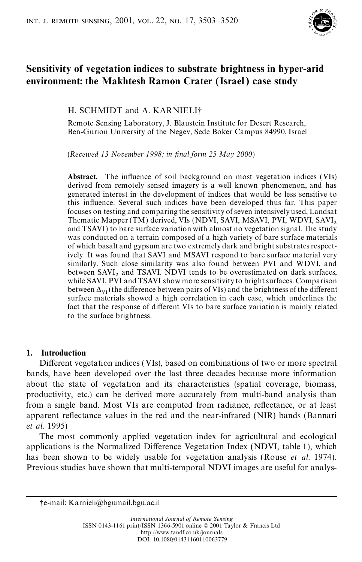

# **Sensitivity of vegetation indices to substrate brightness in hyper-arid environment: the Makhtesh Ramon Crater (Israel ) case study**

# H. SCHMIDT and A. KARNIELI†

Remote Sensing Laboratory, J. Blaustein Institute for Desert Research, Ben-Gurion University of the Negev, Sede Boker Campus 84990, Israel

(*Received 13 November 1998; in nal form 25 May 2000*)

**Abstract.** The influence of soil background on most vegetation indices (VIs) derived from remotely sensed imagery is a well known phenomenon, and has generated interest in the development of indices that would be less sensitive to this influence. Several such indices have been developed thus far. This paper focuses on testing and comparing the sensitivity of seven intensively used, Landsat Thematic Mapper (TM) derived, VIs (NDVI, SAVI, MSAVI, PVI, WDVI, SAVI, and TSAVI) to bare surface variation with almost no vegetation signal. The study was conducted on a terrain composed of a high variety of bare surface materials of which basalt and gypsum are two extremely dark and bright substrates respectively. It was found that SAVI and MSAVI respond to bare surface material very similarly. Such close similarity was also found between PVI and WDVI, and between  $SAVI<sub>2</sub>$  and TSAVI. NDVI tends to be overestimated on dark surfaces, while SAVI, PVI and TSAVI show more sensitivityto bright surfaces. Comparison between  $\Delta_{VI}$  (the difference between pairs of VIs) and the brightness of the different surface materials showed a high correlation in each case, which underlines the fact that the response of different VIs to bare surface variation is mainly related to the surface brightness.

# **1. Introduction**

Different vegetation indices (VIs), based on combinations of two or more spectral bands, have been developed over the last three decades because more information about the state of vegetation and its characteristics (spatial coverage, biomass, productivity, etc.) can be derived more accurately from multi-band analysis than from a single band. Most VIs are computed from radiance, reflectance, or at least apparent reflectance values in the red and the near-infrared (NIR) bands (Bannari *et al*. 1995)

The most commonly applied vegetation index for agricultural and ecological applications is the Normalized Difference Vegetation Index (NDVI, table 1), which has been shown to be widely usable for vegetation analysis (Rouse *et al*. 1974). Previous studies have shown that multi-temporal NDVI images are useful for analys-

<sup>†</sup>e-mail: Karnieli@bgumail.bgu.ac.il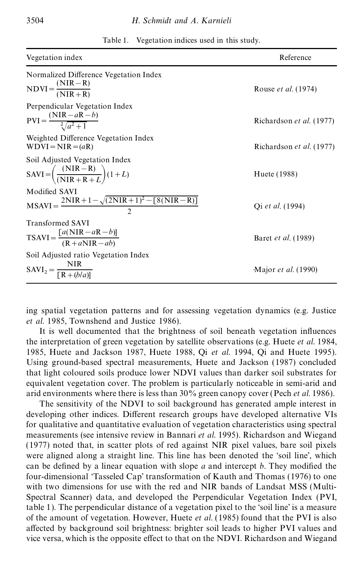| Vegetation index                                                                                           | Reference                  |
|------------------------------------------------------------------------------------------------------------|----------------------------|
| Normalized Difference Vegetation Index<br>$NDVI = \frac{(NIR - R)}{(NIR + R)}$                             | Rouse <i>et al.</i> (1974) |
| Perpendicular Vegetation Index<br>$\text{PVI} = \frac{(\text{NIR} - a\text{R} - b)}{\frac{2}{3}(a^2 + 1)}$ | Richardson et al. (1977)   |
| Weighted Difference Vegetation Index<br>$WDVI = NIR = (aR)$                                                | Richardson et al. (1977)   |
| Soil Adjusted Vegetation Index<br>$SAVI = \left(\frac{(NIR - R)}{(NIR + R + L)}(1 + L)\right)$             | Huete (1988)               |
| Modified SAVI<br>$MSAVI = \frac{2NIR + 1 - \sqrt{(2NIR + 1)^2 - [8(NIR - R)]}}{2}$                         | Qi et al. (1994)           |
| <b>Transformed SAVI</b><br>$TSAVI = \frac{[a(NIR - aK - b)]}{(R + aNIR - ab)}$                             | Baret et al. (1989)        |
| Soil Adjusted ratio Vegetation Index<br>$SAVI_2 = \frac{NIR}{\Gamma R + (b/a)l}$                           | Major <i>et al.</i> (1990) |

| Table 1. | Vegetation indices used in this study. |  |  |  |  |
|----------|----------------------------------------|--|--|--|--|
|----------|----------------------------------------|--|--|--|--|

ing spatial vegetation patterns and for assessing vegetation dynamics (e.g. Justice *et al*. 1985, Townshend and Justice 1986).

It is well documented that the brightness of soil beneath vegetation influences the interpretation of green vegetation by satellite observations (e.g. Huete *et al*. 1984, 1985, Huete and Jackson 1987, Huete 1988, Qi *et al*. 1994, Qi and Huete 1995). Using ground-based spectral measurements, Huete and Jackson (1987) concluded that light coloured soils produce lower NDVI values than darker soil substrates for equivalent vegetation cover. The problem is particularly noticeable in semi-arid and arid environments where there is less than 30% green canopy cover (Pech *et al*. 1986).

The sensitivity of the NDVI to soil background has generated ample interest in developing other indices. Different research groups have developed alternative VIs for qualitative and quantitative evaluation of vegetation characteristics using spectral measurements (see intensive review in Bannari *et al*. 1995). Richardson and Wiegand (1977) noted that, in scatter plots of red against NIR pixel values, bare soil pixels were aligned along a straight line. This line has been denoted the 'soil line', which can be defined by a linear equation with slope *a* and intercept *b*. They modified the four-dimensional 'Tasseled Cap' transformation of Kauth and Thomas (1976) to one with two dimensions for use with the red and NIR bands of Landsat MSS (Multi-Spectral Scanner) data, and developed the Perpendicular Vegetation Index (PVI, table 1). The perpendicular distance of a vegetation pixel to the 'soil line' is a measure of the amount of vegetation. However, Huete *et al.* (1985) found that the PVI is also affected by background soil brightness: brighter soil leads to higher PVI values and vice versa, which is the opposite effect to that on the NDVI. Richardson and Wiegand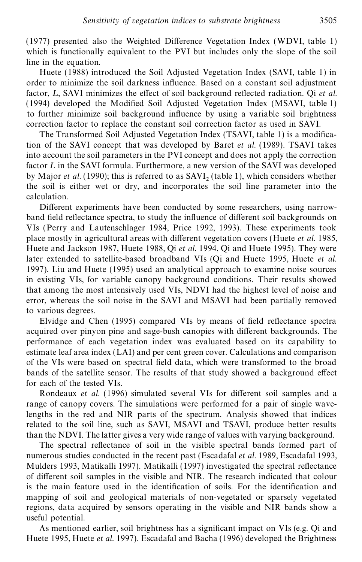$(1977)$  presented also the Weighted Difference Vegetation Index (WDVI, table 1) which is functionally equivalent to the PVI but includes only the slope of the soil line in the equation.

Huete (1988) introduced the Soil Adjusted Vegetation Index (SAVI, table 1) in order to minimize the soil darkness inuence. Based on a constant soil adjustment factor, *L*, SAVI minimizes the effect of soil background reflected radiation. Qi *et al.*  $(1994)$  developed the Modified Soil Adjusted Vegetation Index (MSAVI, table 1) to further minimize soil background influence by using a variable soil brightness correction factor to replace the constant soil correction factor as used in SAVI.

The Transformed Soil Adjusted Vegetation Index (TSAVI, table 1) is a modication of the SAVI concept that was developed by Baret *et al*. (1989). TSAVI takes into account the soil parameters in the PVI concept and does not apply the correction factor *L* in the SAVI formula. Furthermore, a new version of the SAVI was developed by Major *et al.* (1990); this is referred to as  $SAVI_2$  (table 1), which considers whether the soil is either wet or dry, and incorporates the soil line parameter into the calculation.

Different experiments have been conducted by some researchers, using narrowband field reflectance spectra, to study the influence of different soil backgrounds on VIs (Perry and Lautenschlager 1984, Price 1992, 1993). These experiments took place mostly in agricultural areas with different vegetation covers (Huete *et al.* 1985, Huete and Jackson 1987, Huete 1988, Qi *et al*. 1994, Qi and Huete 1995). They were later extended to satellite-based broadband VIs (Qi and Huete 1995, Huete *et al*. 1997). Liu and Huete (1995) used an analytical approach to examine noise sources in existing VIs, for variable canopy background conditions. Their results showed that among the most intensively used VIs, NDVI had the highest level of noise and error, whereas the soil noise in the SAVI and MSAVI had been partially removed to various degrees.

Elvidge and Chen (1995) compared VIs by means of field reflectance spectra acquired over pinyon pine and sage-bush canopies with different backgrounds. The performance of each vegetation index was evaluated based on its capability to estimate leaf area index (LAI) and per cent green cover. Calculations and comparison of the VIs were based on spectral field data, which were transformed to the broad bands of the satellite sensor. The results of that study showed a background effect for each of the tested VIs.

Rondeaux *et al.* (1996) simulated several VIs for different soil samples and a range of canopy covers. The simulations were performed for a pair of single wavelengths in the red and NIR parts of the spectrum. Analysis showed that indices related to the soil line, such as SAVI, MSAVI and TSAVI, produce better results than the NDVI. The latter gives a very wide range of values with varying background.

The spectral reflectance of soil in the visible spectral bands formed part of numerous studies conducted in the recent past (Escadafal *et al*. 1989, Escadafal 1993, Mulders 1993, Matikalli 1997). Matikalli (1997) investigated the spectral reflectance of different soil samples in the visible and NIR. The research indicated that colour is the main feature used in the identification of soils. For the identification and mapping of soil and geological materials of non-vegetated or sparsely vegetated regions, data acquired by sensors operating in the visible and NIR bands show a useful potential.

As mentioned earlier, soil brightness has a signicant impact on VIs (e.g. Qi and Huete 1995, Huete *et al*. 1997). Escadafal and Bacha (1996) developed the Brightness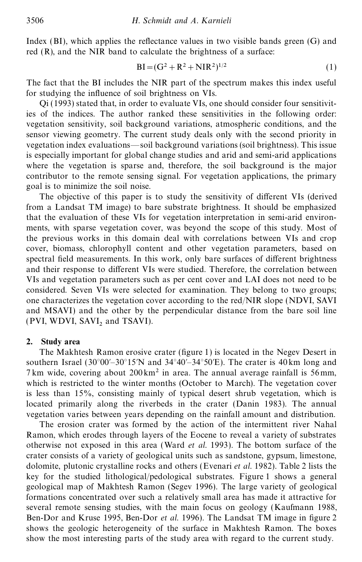Index  $(BI)$ , which applies the reflectance values in two visible bands green  $(G)$  and red (R), and the NIR band to calculate the brightness of a surface:

$$
BI = (G2 + R2 + NIR2)1/2
$$
 (1)

The fact that the BI includes the NIR part of the spectrum makes this index useful for studying the influence of soil brightness on VIs.

Qi (1993) stated that, in order to evaluate VIs, one should consider four sensitivities of the indices. The author ranked these sensitivities in the following order: vegetation sensitivity, soil background variations, atmospheric conditions, and the sensor viewing geometry. The current study deals only with the second priority in vegetation index evaluations—soil background variations (soil brightness). This issue is especially important for global change studies and arid and semi-arid applications where the vegetation is sparse and, therefore, the soil background is the major contributor to the remote sensing signal. For vegetation applications, the primary goal is to minimize the soil noise.

The objective of this paper is to study the sensitivity of different VIs (derived from a Landsat TM image) to bare substrate brightness. It should be emphasized that the evaluation of these VIs for vegetation interpretation in semi-arid environments, with sparse vegetation cover, was beyond the scope of this study. Most of the previous works in this domain deal with correlations between VIs and crop cover, biomass, chlorophyll content and other vegetation parameters, based on spectral field measurements. In this work, only bare surfaces of different brightness and their response to different VIs were studied. Therefore, the correlation between VIs and vegetation parameters such as per cent cover and LAI does not need to be considered. Seven VIs were selected for examination. They belong to two groups; one characterizes the vegetation cover according to the red/NIR slope (NDVI, SAVI and MSAVI) and the other by the perpendicular distance from the bare soil line (PVI, WDVI,  $SAVI<sub>2</sub>$  and TSAVI).

### **2. Study area**

The Makhtesh Ramon erosive crater (figure 1) is located in the Negev Desert in southern Israel (30°00′–30°15′N and 34°40′–34°50′E). The crater is 40 km long and 7 km wide, covering about  $200 \text{ km}^2$  in area. The annual average rainfall is 56 mm, which is restricted to the winter months (October to March). The vegetation cover is less than 15%, consisting mainly of typical desert shrub vegetation, which is located primarily along the riverbeds in the crater (Danin 1983). The annual vegetation varies between years depending on the rainfall amount and distribution.

The erosion crater was formed by the action of the intermittent river Nahal Ramon, which erodes through layers of the Eocene to reveal a variety of substrates otherwise not exposed in this area (Ward *et al*. 1993). The bottom surface of the crater consists of a variety of geological units such as sandstone, gypsum, limestone, dolomite, plutonic crystalline rocks and others (Evenari *et al.* 1982). Table 2 lists the key for the studied lithological/pedological substrates. Figure 1 shows a general geological map of Makhtesh Ramon (Segev 1996). The large variety of geological formations concentrated over such a relatively small area has made it attractive for several remote sensing studies, with the main focus on geology (Kaufmann 1988, Ben-Dor and Kruse 1995, Ben-Dor *et al.* 1996). The Landsat TM image in figure 2 shows the geologic heterogeneity of the surface in Makhtesh Ramon. The boxes show the most interesting parts of the study area with regard to the current study.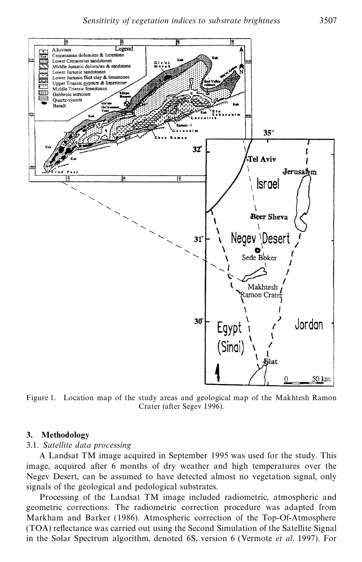

Figure 1. Location map of the study areas and geological map of the Makhtesh Ramon Crater (after Segev 1996).

### **3. Methodology**

### 3.1. *Satellite data processing*

A Landsat TM image acquired in September 1995 was used for the study. This image, acquired after 6 months of dry weather and high temperatures over the Negev Desert, can be assumed to have detected almost no vegetation signal, only signals of the geological and pedological substrates.

Processing of the Landsat TM image included radiometric, atmospheric and geometric corrections. The radiometric correction procedure was adapted from Markham and Barker (1986). Atmospheric correction of the Top-Of-Atmosphere (TOA) reflectance was carried out using the Second Simulation of the Satellite Signal in the Solar Spectrum algorithm, denoted 6S, version 6 (Vermote *et al.* 1997). For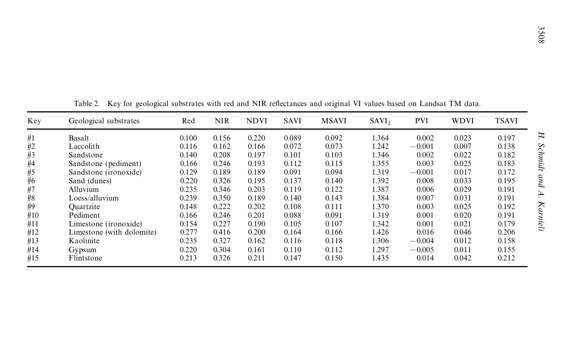|       |                                                                                                                          |       |            |             |       |              |                   |            |             |              | 300s     |
|-------|--------------------------------------------------------------------------------------------------------------------------|-------|------------|-------------|-------|--------------|-------------------|------------|-------------|--------------|----------|
|       |                                                                                                                          |       |            |             |       |              |                   |            |             |              |          |
|       |                                                                                                                          |       |            |             |       |              |                   |            |             |              |          |
|       |                                                                                                                          |       |            |             |       |              |                   |            |             |              |          |
|       |                                                                                                                          |       |            |             |       |              |                   |            |             |              |          |
|       |                                                                                                                          |       |            |             |       |              |                   |            |             |              |          |
|       | Key for geological substrates with red and NIR reflectances and original VI values based on Landsat TM data.<br>Table 2. |       |            |             |       |              |                   |            |             |              |          |
| Key   | Geological substrates                                                                                                    | Red   | <b>NIR</b> | <b>NDVI</b> | SAVI  | <b>MSAVI</b> | SAVI <sub>2</sub> | <b>PVI</b> | <b>WDVI</b> | <b>TSAVI</b> |          |
| #1    | Basalt                                                                                                                   | 0.100 | 0.156      | 0.220       | 0.089 | 0.092        | 1.364             | 0.002      | 0.023       | 0.197        | H.       |
| #2    | Laccolith                                                                                                                | 0.116 | 0.162      | 0.166       | 0.072 | 0.073        | 1.242             | $-0.001$   | 0.007       | 0.138        |          |
| #3    | Sandstone                                                                                                                | 0.140 | 0.208      | 0.197       | 0.101 | 0.103        | 1.346             | 0.002      | 0.022       | 0.182        | Schmidt  |
| $\#4$ | Sandstone (pediment)                                                                                                     | 0.166 | 0.246      | 0.193       | 0.112 | 0.115        | 1.355             | 0.003      | 0.025       | 0.183        |          |
| #5    | Sandstone (ironoxide)                                                                                                    | 0.129 | 0.189      | 0.189       | 0.091 | 0.094        | 1.319             | $-0.001$   | 0.017       | 0.172        |          |
| #6    | Sand (dunes)                                                                                                             | 0.220 | 0.326      | 0.195       | 0.137 | 0.140        | 1.392             | 0.008      | 0.033       | 0.195        | pup      |
| #7    | Alluvium                                                                                                                 | 0.235 | 0.346      | 0.203       | 0.119 | 0.122        | 1.387             | 0.006      | 0.029       | 0.191        |          |
| #8    | Loess/alluvium                                                                                                           | 0.239 | 0.350      | 0.189       | 0.140 | 0.143        | 1.384             | 0.007      | 0.031       | 0.191        | À.       |
| #9    | Ouartzite                                                                                                                | 0.148 | 0.222      | 0.202       | 0.108 | 0.111        | 1.370             | 0.003      | 0.025       | 0.192        |          |
| #10   | Pediment                                                                                                                 | 0.166 | 0.246      | 0.201       | 0.088 | 0.091        | 1.319             | 0.001      | 0.020       | 0.191        |          |
| #11   | Limestone (ironoxide)                                                                                                    | 0.154 | 0.227      | 0.190       | 0.105 | 0.107        | 1.342             | 0.001      | 0.021       | 0.179        | Karnieli |
| #12   | Limestone (with dolomite)                                                                                                | 0.277 | 0.416      | 0.200       | 0.164 | 0.166        | 1.426             | 0.016      | 0.046       | 0.206        |          |
| #13   | Kaolinite                                                                                                                | 0.235 | 0.327      | 0.162       | 0.116 | 0.118        | 1.306             | $-0.004$   | 0.012       | 0.158        |          |
| #14   | Gypsum                                                                                                                   | 0.220 | 0.304      | 0.161       | 0.110 | 0.112        | 1.297             | $-0.005$   | 0.011       | 0.155        |          |
| #15   | Flintstone                                                                                                               | 0.213 | 0.326      | 0.211       | 0.147 | 0.150        | 1.435             | 0.014      | 0.042       | 0.212        |          |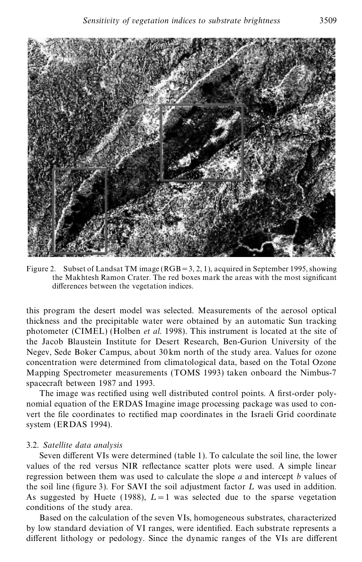

Figure 2. Subset of Landsat TM image  $(RGB=3, 2, 1)$ , acquired in September 1995, showing the Makhtesh Ramon Crater. The red boxes mark the areas with the most signicant differences between the vegetation indices.

this program the desert model was selected. Measurements of the aerosol optical thickness and the precipitable water were obtained by an automatic Sun tracking photometer (CIMEL) (Holben *et al.* 1998). This instrument is located at the site of the Jacob Blaustein Institute for Desert Research, Ben-Gurion University of the Negev, Sede Boker Campus, about 30 km north of the study area. Values for ozone concentration were determined from climatological data, based on the Total Ozone Mapping Spectrometer measurements (TOMS 1993) taken onboard the Nimbus-7 spacecraft between 1987 and 1993.

The image was rectified using well distributed control points. A first-order polynomial equation of the ERDAS Imagine image processing package was used to convert the file coordinates to rectified map coordinates in the Israeli Grid coordinate system (ERDAS 1994).

#### 3.2. *Satellite data analysis*

Seven different VIs were determined (table 1). To calculate the soil line, the lower values of the red versus NIR reflectance scatter plots were used. A simple linear regression between them was used to calculate the slope *a* and intercept *b* values of the soil line (figure 3). For SAVI the soil adjustment factor  $L$  was used in addition. As suggested by Huete (1988),  $L = 1$  was selected due to the sparse vegetation conditions of the study area.

Based on the calculation of the seven VIs, homogeneous substrates, characterized by low standard deviation of VI ranges, were identified. Each substrate represents a different lithology or pedology. Since the dynamic ranges of the VIs are different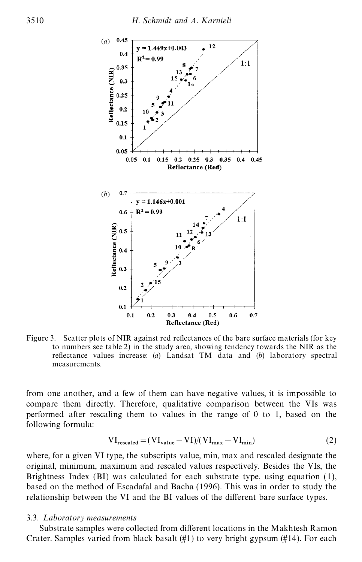

Figure 3. Scatter plots of NIR against red reflectances of the bare surface materials (for key to numbers see table 2) in the study area, showing tendency towards the NIR as the reflectance values increase: (*a*) Landsat TM data and (*b*) laboratory spectral measurements.

from one another, and a few of them can have negative values, it is impossible to compare them directly. Therefore, qualitative comparison between the VIs was performed after rescaling them to values in the range of 0 to 1, based on the following formula:

$$
VI_{rescaled} = (VI_{value} - VI)/(VI_{max} - VI_{min})
$$
 (2)

where, for a given VI type, the subscripts value, min, max and rescaled designate the original, minimum, maximum and rescaled values respectively. Besides the VIs, the Brightness Index (BI) was calculated for each substrate type, using equation (1), based on the method of Escadafal and Bacha (1996). This was in order to study the relationship between the VI and the BI values of the different bare surface types.

#### 3.3. *L aboratory measurements*

Substrate samples were collected from different locations in the Makhtesh Ramon Crater. Samples varied from black basalt  $(\#1)$  to very bright gypsum  $(\#14)$ . For each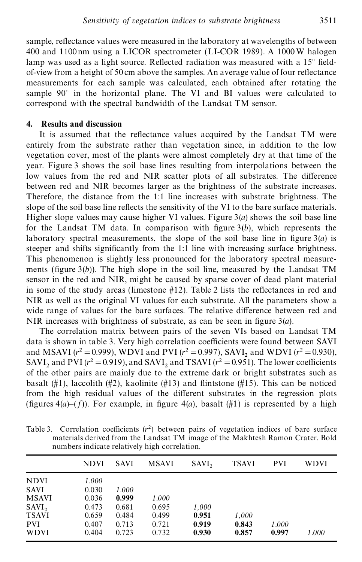sample, reflectance values were measured in the laboratory at wavelengths of between 400 and 1100nm using a LICOR spectrometer (LI-COR 1989). A 1000 W halogen lamp was used as a light source. Reflected radiation was measured with a  $15^{\circ}$  field $of$ -view from a height of 50 cm above the samples. An average value of four reflectance measurements for each sample was calculated, each obtained after rotating the sample 90° in the horizontal plane. The VI and BI values were calculated to correspond with the spectral bandwidth of the Landsat TM sensor.

#### **4. Results and discussion**

It is assumed that the reflectance values acquired by the Landsat TM were entirely from the substrate rather than vegetation since, in addition to the low vegetation cover, most of the plants were almost completely dry at that time of the year. Figure 3 shows the soil base lines resulting from interpolations between the low values from the red and NIR scatter plots of all substrates. The difference between red and NIR becomes larger as the brightness of the substrate increases. Therefore, the distance from the 1:1 line increases with substrate brightness. The slope of the soil base line reflects the sensitivity of the VI to the bare surface materials. Higher slope values may cause higher VI values. Figure  $3(a)$  shows the soil base line for the Landsat TM data. In comparison with gure 3(*b*), which represents the laboratory spectral measurements, the slope of the soil base line in figure  $3(a)$  is steeper and shifts signicantly from the 1:1 line with increasing surface brightness. This phenomenon is slightly less pronounced for the laboratory spectral measurements (figure  $3(b)$ ). The high slope in the soil line, measured by the Landsat TM sensor in the red and NIR, might be caused by sparse cover of dead plant material in some of the study areas (limestone  $#12$ ). Table 2 lists the reflectances in red and NIR as well as the original VI values for each substrate. All the parameters show a wide range of values for the bare surfaces. The relative difference between red and NIR increases with brightness of substrate, as can be seen in figure  $3(a)$ .

The correlation matrix between pairs of the seven VIs based on Landsat TM data is shown in table 3. Very high correlation coefficients were found between SAVI and MSAVI ( $r^2 = 0.999$ ), WDVI and PVI ( $r^2 = 0.997$ ), SAVI<sub>2</sub> and WDVI ( $r^2 = 0.930$ ), SAVI<sub>2</sub> and PVI ( $r^2 = 0.919$ ), and SAVI<sub>2</sub> and TSAVI ( $r^2 = 0.951$ ). The lower coefficients of the other pairs are mainly due to the extreme dark or bright substrates such as basalt (#1), laccolith (#2), kaolinite (#13) and flintstone (#15). This can be noticed from the high residual values of the different substrates in the regression plots (figures  $4(a)-(f)$ ). For example, in figure  $4(a)$ , basalt (#1) is represented by a high

| Table 3. Correlation coefficients $(r^2)$ between pairs of vegetation indices of bare surface |  |  |  |  |  |
|-----------------------------------------------------------------------------------------------|--|--|--|--|--|
| materials derived from the Landsat TM image of the Makhtesh Ramon Crater. Bold                |  |  |  |  |  |
| numbers indicate relatively high correlation.                                                 |  |  |  |  |  |

|              | <b>NDVI</b> | <b>SAVI</b> | <b>MSAVI</b> | SAVI, | <b>TSAVI</b> | PVI   | <b>WDVI</b> |
|--------------|-------------|-------------|--------------|-------|--------------|-------|-------------|
| <b>NDVI</b>  | 1.000       |             |              |       |              |       |             |
| <b>SAVI</b>  | 0.030       | 1.000       |              |       |              |       |             |
| <b>MSAVI</b> | 0.036       | 0.999       | 1.000        |       |              |       |             |
| SAVI,        | 0.473       | 0.681       | 0.695        | 1,000 |              |       |             |
| <b>TSAVI</b> | 0.659       | 0.484       | 0.499        | 0.951 | 1,000        |       |             |
| <b>PVI</b>   | 0.407       | 0.713       | 0.721        | 0.919 | 0.843        | 1.000 |             |
| <b>WDVI</b>  | 0.404       | 0.723       | 0.732        | 0.930 | 0.857        | 0.997 | 1.000       |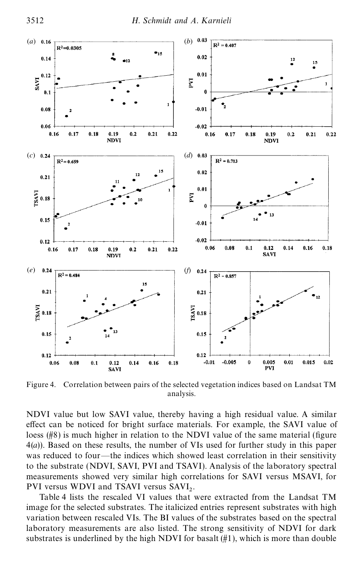

Figure 4. Correlation between pairs of the selected vegetation indices based on Landsat TM analysis.

NDVI value but low SAVI value, thereby having a high residual value. A similar effect can be noticed for bright surface materials. For example, the SAVI value of loess  $(\frac{\mu}{8})$  is much higher in relation to the NDVI value of the same material (figure 4(*a*)). Based on these results, the number of VIs used for further study in this paper was reduced to four—the indices which showed least correlation in their sensitivity to the substrate (NDVI, SAVI, PVI and TSAVI). Analysis of the laboratory spectral measurements showed very similar high correlations for SAVI versus MSAVI, for PVI versus WDVI and TSAVI versus SAVI<sub>2</sub>.

Table 4 lists the rescaled VI values that were extracted from the Landsat TM image for the selected substrates. The italicized entries represent substrates with high variation between rescaled VIs. The BI values of the substrates based on the spectral laboratory measurements are also listed. The strong sensitivity of NDVI for dark substrates is underlined by the high NDVI for basalt  $(\#1)$ , which is more than double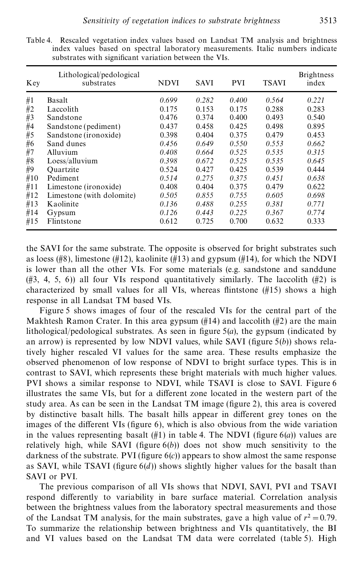| Key | Lithological/pedological<br>substrates | NDVI  | <b>SAVI</b> | <b>PVI</b> | <b>TSAVI</b> | <b>Brightness</b><br>index |
|-----|----------------------------------------|-------|-------------|------------|--------------|----------------------------|
| #1  | Basalt                                 | 0.699 | 0.282       | 0.400      | 0.564        | 0.221                      |
| #2  | Laccolith                              | 0.175 | 0.153       | 0.175      | 0.288        | 0.283                      |
| #3  | Sandstone                              | 0.476 | 0.374       | 0.400      | 0.493        | 0.540                      |
| #4  | Sandstone (pediment)                   | 0.437 | 0.458       | 0.425      | 0.498        | 0.895                      |
| #5  | Sandstone ( <i>ironoxide</i> )         | 0.398 | 0.404       | 0.375      | 0.479        | 0.453                      |
| #6  | Sand dunes                             | 0.456 | 0.649       | 0.550      | 0.553        | 0.662                      |
| #7  | Alluvium                               | 0.408 | 0.664       | 0.525      | 0.535        | 0.315                      |
| #8  | Loess/alluvium                         | 0.398 | 0.672       | 0.525      | 0.535        | 0.645                      |
| #9  | Ouartzite                              | 0.524 | 0.427       | 0.425      | 0.539        | 0.444                      |
| #10 | Pediment                               | 0.514 | 0.275       | 0.375      | 0.451        | 0.638                      |
| #11 | Limestone (ironoxide)                  | 0.408 | 0.404       | 0.375      | 0.479        | 0.622                      |
| #12 | Limestone (with dolomite)              | 0.505 | 0.855       | 0.755      | 0.605        | 0.698                      |
| #13 | Kaolinite                              | 0.136 | 0.488       | 0.255      | 0.381        | 0.771                      |
| #14 | Gypsum                                 | 0.126 | 0.443       | 0.225      | 0.367        | 0.774                      |
| #15 | Flintstone                             | 0.612 | 0.725       | 0.700      | 0.632        | 0.333                      |

Table 4. Rescaled vegetation index values based on Landsat TM analysis and brightness index values based on spectral laboratory measurements. Italic numbers indicate substrates with significant variation between the VIs.

the SAVI for the same substrate. The opposite is observed for bright substrates such as loess (#8), limestone (#12), kaolinite (#13) and gypsum (#14), for which the NDVI is lower than all the other VIs. For some materials (e.g. sandstone and sanddune  $(\#3, 4, 5, 6)$ ) all four VIs respond quantitatively similarly. The laccolith  $(\#2)$  is characterized by small values for all VIs, whereas flintstone  $(\#15)$  shows a high response in all Landsat TM based VIs.

Figure 5 shows images of four of the rescaled VIs for the central part of the Makhtesh Ramon Crater. In this area gypsum  $(\#14)$  and laccolith  $(\#2)$  are the main lithological/pedological substrates. As seen in figure  $5(a)$ , the gypsum (indicated by an arrow) is represented by low NDVI values, while SAVI (figure  $5(b)$ ) shows relatively higher rescaled VI values for the same area. These results emphasize the observed phenomenon of low response of NDVI to bright surface types. This is in contrast to SAVI, which represents these bright materials with much higher values. PVI shows a similar response to NDVI, while TSAVI is close to SAVI. Figure 6 illustrates the same VIs, but for a different zone located in the western part of the study area. As can be seen in the Landsat  $TM$  image (figure 2), this area is covered by distinctive basalt hills. The basalt hills appear in different grey tones on the images of the different VIs (figure  $6$ ), which is also obvious from the wide variation in the values representing basalt  $(\#1)$  in table 4. The NDVI (figure 6(*a*)) values are relatively high, while SAVI (figure  $6(b)$ ) does not show much sensitivity to the darkness of the substrate. PVI (figure  $6(c)$ ) appears to show almost the same response as SAVI, while TSAVI (figure  $6(d)$ ) shows slightly higher values for the basalt than SAVI or PVI.

The previous comparison of all VIs shows that NDVI, SAVI, PVI and TSAVI respond differently to variability in bare surface material. Correlation analysis between the brightness values from the laboratory spectral measurements and those of the Landsat TM analysis, for the main substrates, gave a high value of  $r^2 = 0.79$ . To summarize the relationship between brightness and VIs quantitatively, the BI and VI values based on the Landsat TM data were correlated (table 5). High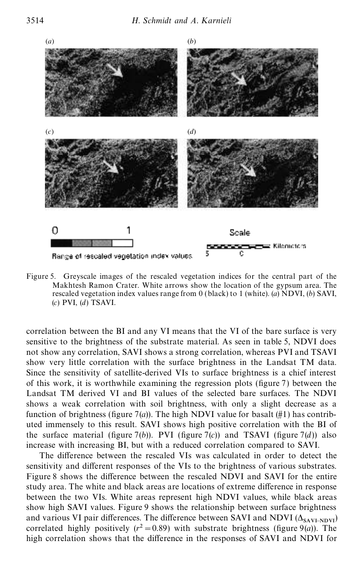

Figure 5. Greyscale images of the rescaled vegetation indices for the central part of the Makhtesh Ramon Crater. White arrows show the location of the gypsum area. The rescaled vegetation index values range from 0 (black) to 1 (white). (*a*) NDVI, (*b*) SAVI, (*c*) PVI, (*d*) TSAVI.

correlation between the BI and any VI means that the VI of the bare surface is very sensitive to the brightness of the substrate material. As seen in table 5, NDVI does not show any correlation, SAVI shows a strong correlation, whereas PVI and TSAVI show very little correlation with the surface brightness in the Landsat TM data. Since the sensitivity of satellite-derived VIs to surface brightness is a chief interest of this work, it is worthwhile examining the regression plots (figure  $7$ ) between the Landsat TM derived VI and BI values of the selected bare surfaces. The NDVI shows a weak correlation with soil brightness, with only a slight decrease as a function of brightness (figure 7(*a*)). The high NDVI value for basalt (#1) has contributed immensely to this result. SAVI shows high positive correlation with the BI of the surface material (figure 7(*b*)). PVI (figure 7(*c*)) and TSAVI (figure 7(*d*)) also increase with increasing BI, but with a reduced correlation compared to SAVI.

The difference between the rescaled VIs was calculated in order to detect the sensitivity and different responses of the VIs to the brightness of various substrates. Figure 8 shows the difference between the rescaled NDVI and SAVI for the entire study area. The white and black areas are locations of extreme difference in response between the two VIs. White areas represent high NDVI values, while black areas show high SAVI values. Figure 9 shows the relationship between surface brightness and various VI pair differences. The difference between SAVI and NDVI  $(\Delta_{SAVI-NDVI})$ correlated highly positively  $(r^2 = 0.89)$  with substrate brightness (figure 9(*a*)). The high correlation shows that the difference in the responses of SAVI and NDVI for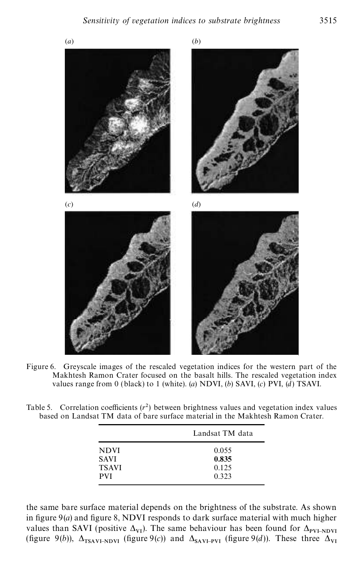

Figure 6. Greyscale images of the rescaled vegetation indices for the western part of the Makhtesh Ramon Crater focused on the basalt hills. The rescaled vegetation index values range from 0 (black) to 1 (white). (*a*) NDVI, (*b*) SAVI, (*c*) PVI, (*d*) TSAVI.

Table 5. Correlation coefficients  $(r^2)$  between brightness values and vegetation index values based on Landsat TM data of bare surface material in the Makhtesh Ramon Crater.

|              | Landsat TM data |
|--------------|-----------------|
| <b>NDVI</b>  | 0.055           |
| <b>SAVI</b>  | 0.835           |
| <b>TSAVI</b> | 0.125           |
| <b>PVI</b>   | 0.323           |

the same bare surface material depends on the brightness of the substrate. As shown in figure  $9(a)$  and figure 8, NDVI responds to dark surface material with much higher values than SAVI (positive  $\Delta_{VI}$ ). The same behaviour has been found for  $\Delta$ values than SAVI (positive  $\Delta_{VI}$ ). The same behaviour has been found for  $\Delta_{PVI-NDVI}$ <br>(figure 9(*b*)),  $\Delta_{TSAVI-NDVI}$  (figure 9(*c*)) and  $\Delta_{SAVI-PVI}$  (figure 9(*d*)). These three  $\Delta_{VI}$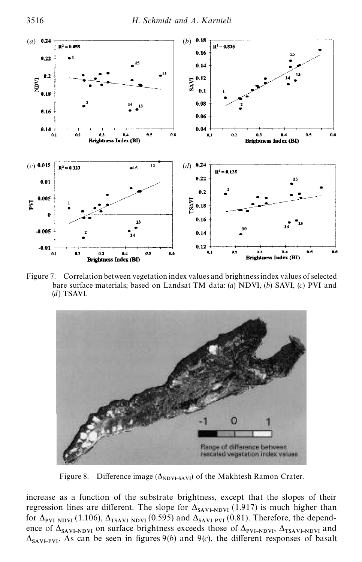

Figure 7. Correlation between vegetation index values and brightness index values of selected bare surface materials; based on Landsat TM data: (*a*) NDVI, (*b*) SAVI, (*c*) PVI and (*d*) TSAVI.



Figure 8. Difference image  $(\Delta_{NDVI-SAVI})$  of the Makhtesh Ramon Crater.

increase as a function of the substrate brightness, except that the slopes of their regression lines are different. The slope for  $\Delta_{SAVI-NDU}$  (1.917) is much higher than for  $\Delta_{\text{PVI-NDVI}}$  (1.106),  $\Delta_{\text{TSAVI-NDVI}}$  (0.595) and  $\Delta_{\text{SAVI-PVI}}$  (0.81). Therefore, the dependence of  $\Delta_{SAVI-NDVI}$  on surface brightness exceeds those of  $\Delta_{PVI-NDVI}$ ,  $\Delta_{TSAVI-NDVI}$  and  $\Delta_{\text{SAVI-PVI}}$ . As can be seen in figures 9(*b*) and 9(*c*), the different responses of basalt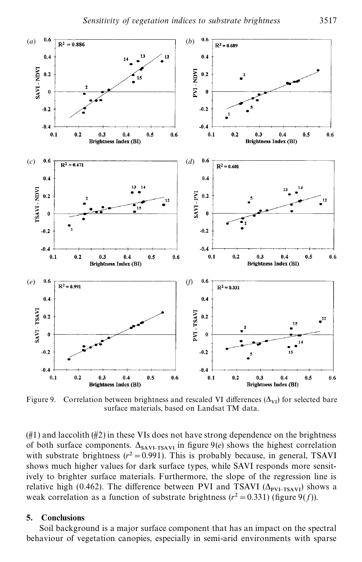

Figure 9. Correlation between brightness and rescaled VI differences  $(\Delta_{VI})$  for selected bare surface materials, based on Landsat TM data.

 $(\#1)$  and laccolith  $(\#2)$  in these VIs does not have strong dependence on the brightness of both surface components.  $\Delta_{SAV+TSAVI}$  in figure 9(*e*) shows the highest correlation with substrate brightness  $(r^2 = 0.991)$ . This is probably because, in general, TSAVI shows much higher values for dark surface types, while SAVI responds more sensitively to brighter surface materials. Furthermore, the slope of the regression line is relative high (0.462). The difference between PVI and TSAVI  $(\Delta_{\text{PVI-TSAVI}})$  shows a weak correlation as a function of substrate brightness  $(r^2 = 0.331)$  (figure 9(*f*)).

### **5. Conclusions**

Soil background is a major surface component that has an impact on the spectral behaviour of vegetation canopies, especially in semi-arid environments with sparse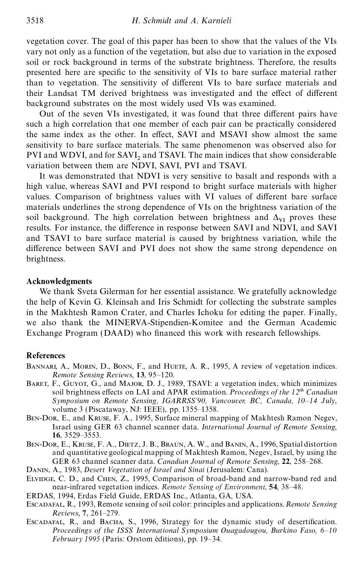vegetation cover. The goal of this paper has been to show that the values of the VIs vary not only as a function of the vegetation, but also due to variation in the exposed soil or rock background in terms of the substrate brightness. Therefore, the results presented here are specic to the sensitivity of VIs to bare surface material rather than to vegetation. The sensitivity of different VIs to bare surface materials and their Landsat TM derived brightness was investigated and the effect of different background substrates on the most widely used VIs was examined.

Out of the seven VIs investigated, it was found that three different pairs have such a high correlation that one member of each pair can be practically considered the same index as the other. In effect, SAVI and MSAVI show almost the same sensitivity to bare surface materials. The same phenomenon was observed also for PVI and WDVI, and for  $SAVI<sub>2</sub>$  and TSAVI. The main indices that show considerable variation between them are NDVI, SAVI, PVI and TSAVI.

It was demonstrated that NDVI is very sensitive to basalt and responds with a high value, whereas SAVI and PVI respond to bright surface materials with higher values. Comparison of brightness values with VI values of different bare surface materials underlines the strong dependence of VIs on the brightness variation of the soil background. The high correlation between brightness and  $\Delta_{VI}$  proves these results. For instance, the difference in response between SAVI and NDVI, and SAVI and TSAVI to bare surface material is caused by brightness variation, while the difference between SAVI and PVI does not show the same strong dependence on brightness.

### **Acknowledgments**

We thank Sveta Gilerman for her essential assistance. We gratefully acknowledge the help of Kevin G. Kleinsah and Iris Schmidt for collecting the substrate samples in the Makhtesh Ramon Crater, and Charles Ichoku for editing the paper. Finally, we also thank the MINERVA-Stipendien-Komitee and the German Academic Exchange Program (DAAD) who financed this work with research fellowships.

#### **References**

- BANNARI, A., MORIN, D., BONN, F., and HUETE, A. R., 1995, A review of vegetation indices. *Remote Sensing Reviews*, **13**, 95–120.
- BARET, F., GUYOT, G., and MAJOR, D. J., 1989, TSAVI: a vegetation index, which minimizes soil brightness effects on LAI and APAR estimation. *Proceedings of the 12<sup>th</sup> Canadian Symposium on Remote Sensing, IGARRSS'90, Vancouver, BC, Canada, 10–14 July*, volume 3 (Piscataway, NJ: IEEE), pp. 1355–1358.
- Ben-Dor, E., and Kruse, F. A., 1995, Surface mineral mapping of Makhtesh Ramon Negev, Israel using GER 63 channel scanner data. *International Journal of Remote Sensing*, **16**, 3529–3553.
- Ben-Dor, E., Kruse, F. A., Dietz, J. B., Braun, A. W., and Banin, A., 1996, Spatial distortion and quantitative geological mapping of Makhtesh Ramon, Negev, Israel, by using the GER 63 channel scanner data. *Canadian Journal of Remote Sensing*, **22**, 258–268.
- Danin, A., 1983, *Desert Vegetation of Israel and Sinai* (Jerusalem: Cana).
- Elvidge, C. D., and Chen, Z., 1995, Comparison of broad-band and narrow-band red and near-infrared vegetation indices. *Remote Sensing of Environment*, **54**, 38–48.
- ERDAS, 1994, Erdas Field Guide, ERDAS Inc., Atlanta, GA, USA.
- Escadafal, R., 1993, Remote sensing of soil color: principles and applications. *Remote Sensing Reviews*, **7**, 261–279.
- ESCADAFAL, R., and BACHA, S., 1996, Strategy for the dynamic study of desertification. *Proceedings of the ISSS International Symposium Ouagadougou, Burkino Faso, 6–10 February 1995* (Paris: Orstom éditions), pp. 19–34.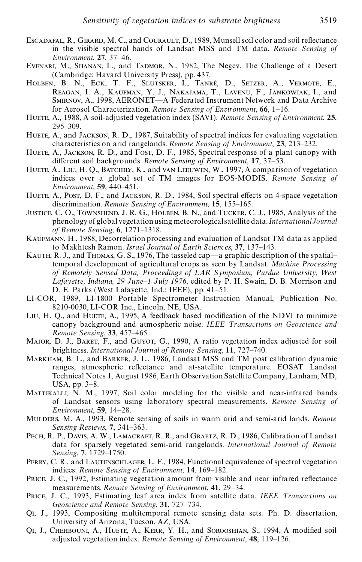- ESCADAFAL, R., GIRARD, M. C., and COURAULT, D., 1989, Munsell soil color and soil reflectance in the visible spectral bands of Landsat MSS and TM data. *Remote Sensing of Environment*, **27**, 37–46.
- Evenari, M., Shanan, L., and Tadmor, N., 1982, The Negev. The Challenge of a Desert (Cambridge: Havard University Press), pp. 437.
- Holben, B. N., Eck, T. F., Slutsker, I., Tanre', D., Setzer, A., Vermote, E., Reagan, I. A., Kaufman, Y. J., Nakajama, T., Lavenu, F., Jankowiak, I., and Smirnov, A., 1998, AERONET—A Federated Instrument Network and Data Archive for Aerosol Characterization. *Remote Sensing of Environment*, **66**, 1–16.
- Huete, A., 1988, A soil-adjusted vegetation index (SAVI). *Remote Sensing of Environment*, **25**, 295–309.
- HUETE, A., and JACKSON, R. D., 1987, Suitability of spectral indices for evaluating vegetation characteristics on arid rangelands. *Remote Sensing of Environment*, **23**, 213–232.
- HUETE, A., JACKSON, R. D., and FOST, D. F., 1985, Spectral response of a plant canopy with different soil backgrounds. *Remote Sensing of Environment*, 17, 37–53.
- HUETE, A., LIU, H. Q., BATCHILY, K., and VAN LEEUWEN, W., 1997, A comparison of vegetation indices over a global set of TM images for EOS-MODIS. *Remote Sensing of Environment*, **59**, 440–451.
- HUETE, A., POST, D. F., and JACKSON, R. D., 1984, Soil spectral effects on 4-space vegetation discrimination. *Remote Sensing of Environment*, **15**, 155–165.
- Justice, C. O., Townshend, J. R. G., Holben, B. N., and Tucker, C. J., 1985, Analysis of the phenologyof globalvegetationusing meteorologicalsatellite data. *InternationalJournal of Remote Sensing*, **6**, 1271–1318.
- Kaufmann, H., 1988, Decorrelation processing and evaluation of Landsat TM data as applied to Makhtesh Ramon. *Israel Journal of Earth Sciences*, **37**, 137–143.
- Kauth, R. J., and Thomas, G. S., 1976, The tasseled cap—a graphic description of the spatial– temporal development of agricultural crops as seen by Landsat. *Machine Processing of Remotely Sensed Data, Proceedings of L AR Symposium, Purdue University, West L afayette, Indiana, 29 June–1 July 1976*, edited by P. H. Swain, D. B. Morrison and D. E. Parks (West Lafayette, Ind.: IEEE), pp. 41–51.
- LI-COR, 1989, LI-1800 Portable Spectrometer Instruction Manual, Publication No. 8210-0030, LI-COR Inc., Lincoln, NE, USA.
- Liu, H. Q., and Huere, A., 1995, A feedback based modification of the NDVI to minimize canopy background and atmospheric noise. *IEEE T ransactions on Geoscience and Remote Sensing*, **33**, 457–465.
- MAJOR, D. J., BARET, F., and GUYOT, G., 1990, A ratio vegetation index adjusted for soil brightness. *International Journal of Remote Sensing*, **11**, 727–740.
- Markham, B. L., and Barker, J. L., 1986, Landsat MSS and TM post calibration dynamic ranges, atmospheric reflectance and at-satellite temperature. EOSAT Landsat Technical Notes 1, August 1986, Earth Observation Satellite Company, Lanham, MD, USA, pp. 3–8.
- Mattikalli, N. M., 1997, Soil color modeling for the visible and near-infrared bands of Landsat sensors using laboratory spectral measurements. *Remote Sensing of Environment*, **59**, 14–28.
- Mulders, M. A., 1993, Remote sensing of soils in warm arid and semi-arid lands. *Remote Sensing Reviews*, **7**, 341–363.
- PECH, R. P., DAVIS, A. W., LAMACRAFT, R. R., and GRAETZ, R. D., 1986, Calibration of Landsat data for sparsely vegetated semi-arid rangelands. *International Journal of Remote Sensing*, **7**, 1729–1750.
- PERRY, C. R., and LAUTENSCHLAGER, L. F., 1984, Functional equivalence of spectral vegetation indices. *Remote Sensing of Environment*, **14**, 169–182.
- PRICE, J. C., 1992, Estimating vegetation amount from visible and near infrared reflectance measurements. *Remote Sensing of Environment*, **41**, 29–34.
- PRICE, J. C., 1993, Estimating leaf area index from satellite data. *IEEE Transactions on Geoscience and Remote Sensing*, **31**, 727–734.
- Qi, J., 1993, Compositing multitemporal remote sensing data sets*.* Ph. D. dissertation, University of Arizona, Tucson, AZ, USA.
- Qi, J., Chehbouni, A., Huete, A., Kerr, Y. H., and Sorooshian, S., 1994, A modied soil adjusted vegetation index. *Remote Sensing of Environment*, **48**, 119–126.